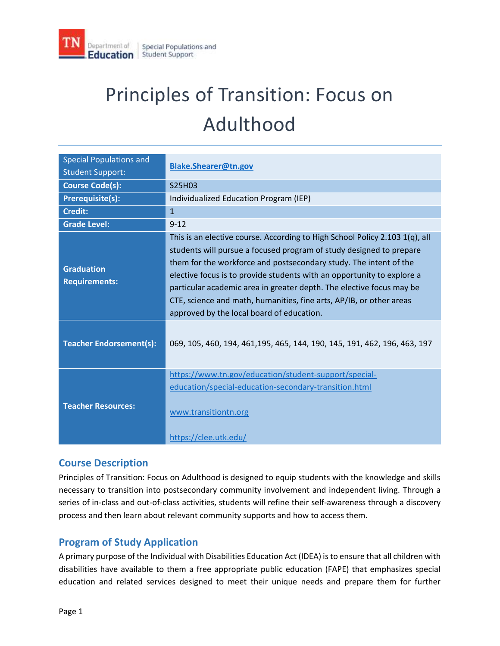

# Principles of Transition: Focus on **Adulthood**

| <b>Special Populations and</b><br><b>Student Support:</b> | <b>Blake.Shearer@tn.gov</b>                                                                                                                                                                                                                                                                                                                                                                                                                                                                   |
|-----------------------------------------------------------|-----------------------------------------------------------------------------------------------------------------------------------------------------------------------------------------------------------------------------------------------------------------------------------------------------------------------------------------------------------------------------------------------------------------------------------------------------------------------------------------------|
| <b>Course Code(s):</b>                                    | S25H03                                                                                                                                                                                                                                                                                                                                                                                                                                                                                        |
| <b>Prerequisite(s):</b>                                   | Individualized Education Program (IEP)                                                                                                                                                                                                                                                                                                                                                                                                                                                        |
| <b>Credit:</b>                                            | $\mathbf{1}$                                                                                                                                                                                                                                                                                                                                                                                                                                                                                  |
| <b>Grade Level:</b>                                       | $9 - 12$                                                                                                                                                                                                                                                                                                                                                                                                                                                                                      |
| <b>Graduation</b><br><b>Requirements:</b>                 | This is an elective course. According to High School Policy 2.103 1(q), all<br>students will pursue a focused program of study designed to prepare<br>them for the workforce and postsecondary study. The intent of the<br>elective focus is to provide students with an opportunity to explore a<br>particular academic area in greater depth. The elective focus may be<br>CTE, science and math, humanities, fine arts, AP/IB, or other areas<br>approved by the local board of education. |
| <b>Teacher Endorsement(s):</b>                            | 069, 105, 460, 194, 461, 195, 465, 144, 190, 145, 191, 462, 196, 463, 197                                                                                                                                                                                                                                                                                                                                                                                                                     |
| <b>Teacher Resources:</b>                                 | https://www.tn.gov/education/student-support/special-<br>education/special-education-secondary-transition.html<br>www.transitiontn.org<br>https://clee.utk.edu/                                                                                                                                                                                                                                                                                                                               |

# **Course Description**

 series of in-class and out-of-class activities, students will refine their self-awareness through a discovery Principles of Transition: Focus on Adulthood is designed to equip students with the knowledge and skills necessary to transition into postsecondary community involvement and independent living. Through a process and then learn about relevant community supports and how to access them.

# **Program of Study Application**

 A primary purpose of the Individual with Disabilities Education Act (IDEA) is to ensure that all children with disabilities have available to them a free appropriate public education (FAPE) that emphasizes special education and related services designed to meet their unique needs and prepare them for further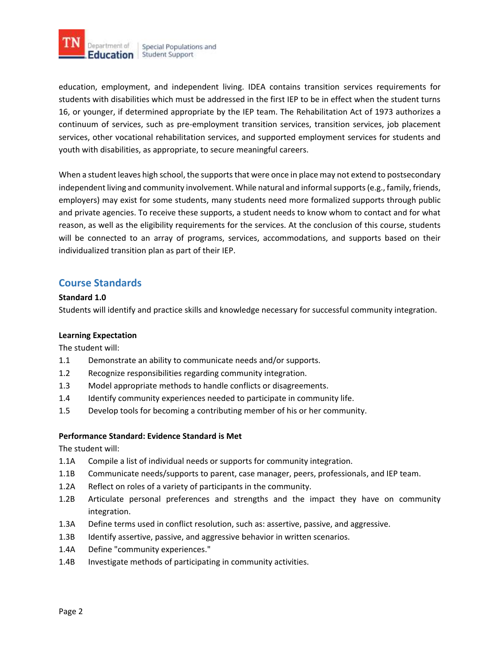

 students with disabilities which must be addressed in the first IEP to be in effect when the student turns continuum of services, such as pre-employment transition services, transition services, job placement education, employment, and independent living. IDEA contains transition services requirements for 16, or younger, if determined appropriate by the IEP team. The Rehabilitation Act of 1973 authorizes a services, other vocational rehabilitation services, and supported employment services for students and youth with disabilities, as appropriate, to secure meaningful careers.

 When a student leaves high school, the supports that were once in place may not extend to postsecondary and private agencies. To receive these supports, a student needs to know whom to contact and for what reason, as well as the eligibility requirements for the services. At the conclusion of this course, students independent living and community involvement. While natural and informal supports (e.g., family, friends, employers) may exist for some students, many students need more formalized supports through public will be connected to an array of programs, services, accommodations, and supports based on their individualized transition plan as part of their IEP.

# **Course Standards**

# **Standard 1.0**

Students will identify and practice skills and knowledge necessary for successful community integration.

# **Learning Expectation**

The student will:

- 1.1 Demonstrate an ability to communicate needs and/or supports.
- 1.2 Recognize responsibilities regarding community integration.
- 1.3 Model appropriate methods to handle conflicts or disagreements.
- 1.4 Identify community experiences needed to participate in community life.
- 1.5 Develop tools for becoming a contributing member of his or her community.

# **Performance Standard: Evidence Standard is Met**

- 1.1A Compile a list of individual needs or supports for community integration.
- 1.1B Communicate needs/supports to parent, case manager, peers, professionals, and IEP team.
- 1.2A Reflect on roles of a variety of participants in the community.
- 1.2B Articulate personal preferences and strengths and the impact they have on community integration.
- 1.3A Define terms used in conflict resolution, such as: assertive, passive, and aggressive.
- 1.3B Identify assertive, passive, and aggressive behavior in written scenarios.
- 1.4A Define "community experiences."
- 1.4B Investigate methods of participating in community activities.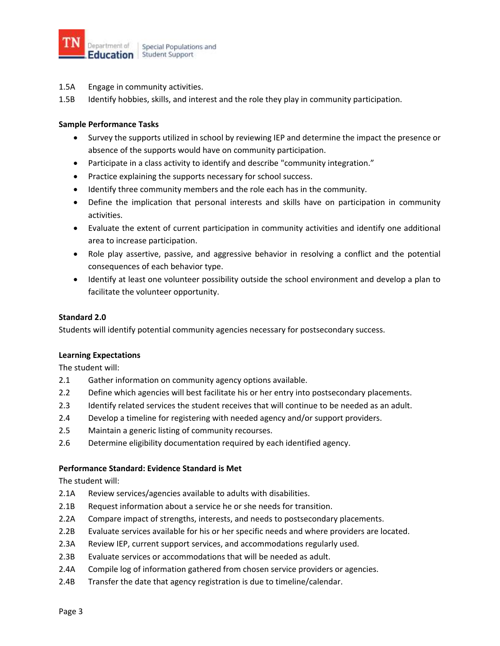

- 1.5A Engage in community activities.
- 1.5B Identify hobbies, skills, and interest and the role they play in community participation.

- Survey the supports utilized in school by reviewing IEP and determine the impact the presence or absence of the supports would have on community participation.
- Participate in a class activity to identify and describe "community integration."
- Practice explaining the supports necessary for school success.
- Identify three community members and the role each has in the community.
- Define the implication that personal interests and skills have on participation in community activities.
- Evaluate the extent of current participation in community activities and identify one additional area to increase participation.
- Role play assertive, passive, and aggressive behavior in resolving a conflict and the potential consequences of each behavior type.
- Identify at least one volunteer possibility outside the school environment and develop a plan to facilitate the volunteer opportunity.

#### **Standard 2.0**

Students will identify potential community agencies necessary for postsecondary success.

#### **Learning Expectations**

The student will:

- 2.1 Gather information on community agency options available.
- 2.2 Define which agencies will best facilitate his or her entry into postsecondary placements.
- 2.3 Identify related services the student receives that will continue to be needed as an adult.
- 2.4 Develop a timeline for registering with needed agency and/or support providers.
- 2.5 Maintain a generic listing of community recourses.
- 2.6 Determine eligibility documentation required by each identified agency.

## **Performance Standard: Evidence Standard is Met**

- 2.1A Review services/agencies available to adults with disabilities.
- 2.1B Request information about a service he or she needs for transition.
- 2.2A Compare impact of strengths, interests, and needs to postsecondary placements.
- 2.2B Evaluate services available for his or her specific needs and where providers are located.
- 2.3A Review IEP, current support services, and accommodations regularly used.
- 2.3B Evaluate services or accommodations that will be needed as adult.
- 2.4A Compile log of information gathered from chosen service providers or agencies.
- 2.4B Transfer the date that agency registration is due to timeline/calendar.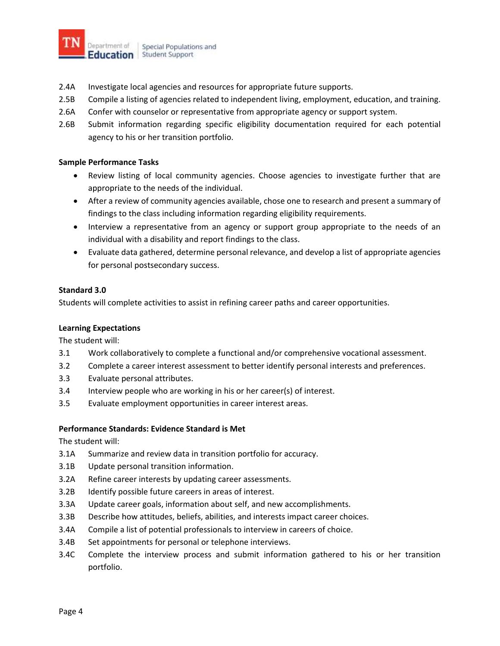

- 2.4A Investigate local agencies and resources for appropriate future supports.
- $2.5B$ Compile a listing of agencies related to independent living, employment, education, and training.
- 2.6A Confer with counselor or representative from appropriate agency or support system.
- 2.6B Submit information regarding specific eligibility documentation required for each potential agency to his or her transition portfolio.

- Review listing of local community agencies. Choose agencies to investigate further that are appropriate to the needs of the individual.
- After a review of community agencies available, chose one to research and present a summary of findings to the class including information regarding eligibility requirements.
- Interview a representative from an agency or support group appropriate to the needs of an individual with a disability and report findings to the class.
- Evaluate data gathered, determine personal relevance, and develop a list of appropriate agencies for personal postsecondary success.

# **Standard 3.0**

Students will complete activities to assist in refining career paths and career opportunities.

# **Learning Expectations**

The student will:

- 3.1 Work collaboratively to complete a functional and/or comprehensive vocational assessment.
- 3.2 Complete a career interest assessment to better identify personal interests and preferences.
- 3.3 Evaluate personal attributes.
- 3.4 Interview people who are working in his or her career(s) of interest.
- 3.5 Evaluate employment opportunities in career interest areas.

# **Performance Standards: Evidence Standard is Met**

- 3.1A Summarize and review data in transition portfolio for accuracy.
- 3.1B Update personal transition information.
- 3.2A Refine career interests by updating career assessments.
- 3.2B Identify possible future careers in areas of interest.
- 3.3A Update career goals, information about self, and new accomplishments.
- $3.3B$ Describe how attitudes, beliefs, abilities, and interests impact career choices.
- 3.4A Compile a list of potential professionals to interview in careers of choice.
- 3.4B Set appointments for personal or telephone interviews.
- 3.4C Complete the interview process and submit information gathered to his or her transition portfolio.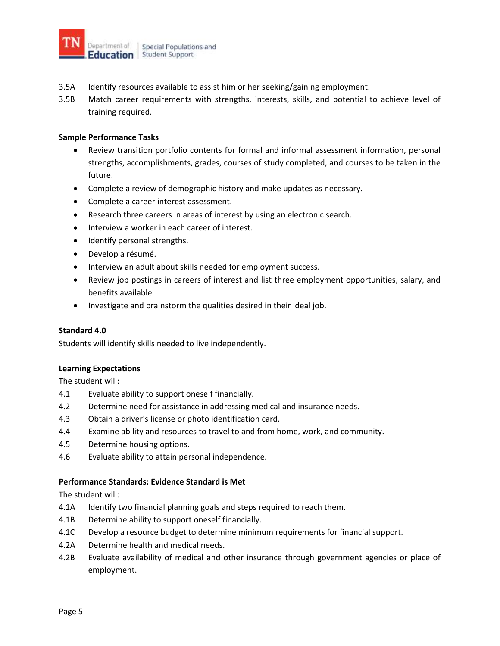

- 3.5A Identify resources available to assist him or her seeking/gaining employment.
- $3.5B$ Match career requirements with strengths, interests, skills, and potential to achieve level of training required.

- Review transition portfolio contents for formal and informal assessment information, personal strengths, accomplishments, grades, courses of study completed, and courses to be taken in the future.
- Complete a review of demographic history and make updates as necessary.
- Complete a career interest assessment.
- Research three careers in areas of interest by using an electronic search.
- Interview a worker in each career of interest.
- Identify personal strengths.
- Develop a résumé.
- Interview an adult about skills needed for employment success.
- Review job postings in careers of interest and list three employment opportunities, salary, and benefits available
- Investigate and brainstorm the qualities desired in their ideal job.

#### **Standard 4.0**

Students will identify skills needed to live independently.

#### **Learning Expectations**

The student will:

- 4.1 Evaluate ability to support oneself financially.
- 4.2 Determine need for assistance in addressing medical and insurance needs.
- 4.3 Obtain a driver's license or photo identification card.
- 4.4 Examine ability and resources to travel to and from home, work, and community.
- 4.5 Determine housing options.
- 4.6 Evaluate ability to attain personal independence.

#### **Performance Standards: Evidence Standard is Met**

- 4.1A Identify two financial planning goals and steps required to reach them.
- 4.1B Determine ability to support oneself financially.
- 4.1C Develop a resource budget to determine minimum requirements for financial support.
- 4.2A Determine health and medical needs.
- $4.2B$ Evaluate availability of medical and other insurance through government agencies or place of employment.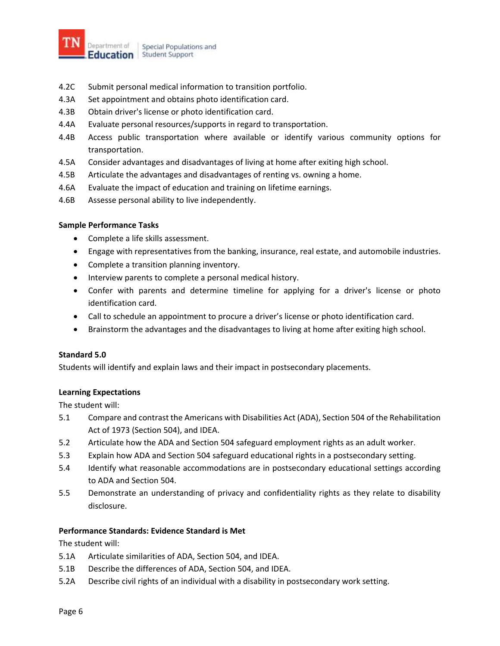

- 4.2C Submit personal medical information to transition portfolio.
- 4.3A Set appointment and obtains photo identification card.
- 4.3B Obtain driver's license or photo identification card.
- 4.4A Evaluate personal resources/supports in regard to transportation.
- $4.4B$ Access public transportation where available or identify various community options for transportation.
- 4.5A Consider advantages and disadvantages of living at home after exiting high school.
- $4.5B$ Articulate the advantages and disadvantages of renting vs. owning a home.
- 4.6A Evaluate the impact of education and training on lifetime earnings.
- $4.6B$ Assesse personal ability to live independently.

- Complete a life skills assessment.
- Engage with representatives from the banking, insurance, real estate, and automobile industries.
- Complete a transition planning inventory.
- Interview parents to complete a personal medical history.
- Confer with parents and determine timeline for applying for a driver's license or photo identification card.
- Call to schedule an appointment to procure a driver's license or photo identification card;
- Brainstorm the advantages and the disadvantages to living at home after exiting high school.

# **Standard 5.0**

Students will identify and explain laws and their impact in postsecondary placements.

# **Learning Expectations**

The student will:

- 5.1 Compare and contrast the Americans with Disabilities Act (ADA), Section 504 of the Rehabilitation Act of 1973 (Section 504), and IDEA.
- 5.2 Articulate how the ADA and Section 504 safeguard employment rights as an adult worker.
- 5.3 Explain how ADA and Section 504 safeguard educational rights in a postsecondary setting.
- 5.4 Identify what reasonable accommodations are in postsecondary educational settings according to ADA and Section 504.
- 5.5 Demonstrate an understanding of privacy and confidentiality rights as they relate to disability disclosure.

# **Performance Standards: Evidence Standard is Met**

- 5.1A Articulate similarities of ADA, Section 504, and IDEA.
- $5.1B$ Describe the differences of ADA, Section 504, and IDEA.
- $5.2A$ Describe civil rights of an individual with a disability in postsecondary work setting.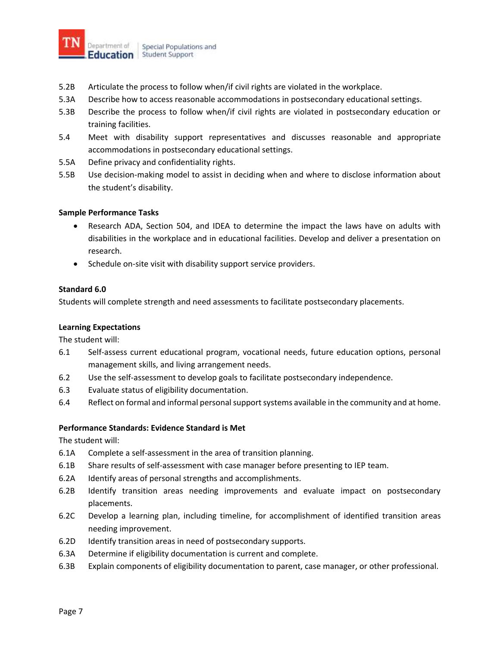

- 5.2B Articulate the process to follow when/if civil rights are violated in the workplace.
- $5.3A$ Describe how to access reasonable accommodations in postsecondary educational settings.
- 5.3B Describe the process to follow when/if civil rights are violated in postsecondary education or training facilities.
- 5.4 Meet with disability support representatives and discusses reasonable and appropriate accommodations in postsecondary educational settings.
- 5.5A Define privacy and confidentiality rights.
- 5.5B Use decision-making model to assist in deciding when and where to disclose information about the student's disability;

- Research ADA, Section 504, and IDEA to determine the impact the laws have on adults with disabilities in the workplace and in educational facilities. Develop and deliver a presentation on research.
- Schedule on-site visit with disability support service providers.

# **Standard 6.0**

Students will complete strength and need assessments to facilitate postsecondary placements.

# **Learning Expectations**

The student will:

- 6.1 Self-assess current educational program, vocational needs, future education options, personal management skills, and living arrangement needs.
- 6.2 Use the self-assessment to develop goals to facilitate postsecondary independence.
- 6.3 Evaluate status of eligibility documentation.
- $6.4$ Reflect on formal and informal personal support systems available in the community and at home.

# **Performance Standards: Evidence Standard is Met**

- 6.1A Complete a self-assessment in the area of transition planning.
- 6.1B Share results of self-assessment with case manager before presenting to IEP team.
- 6.2A Identify areas of personal strengths and accomplishments.
- 6.2B Identify transition areas needing improvements and evaluate impact on postsecondary placements.
- 6.2C Develop a learning plan, including timeline, for accomplishment of identified transition areas needing improvement.
- 6.2D Identify transition areas in need of postsecondary supports.
- 6.3A Determine if eligibility documentation is current and complete.
- 6.3B Explain components of eligibility documentation to parent, case manager, or other professional.